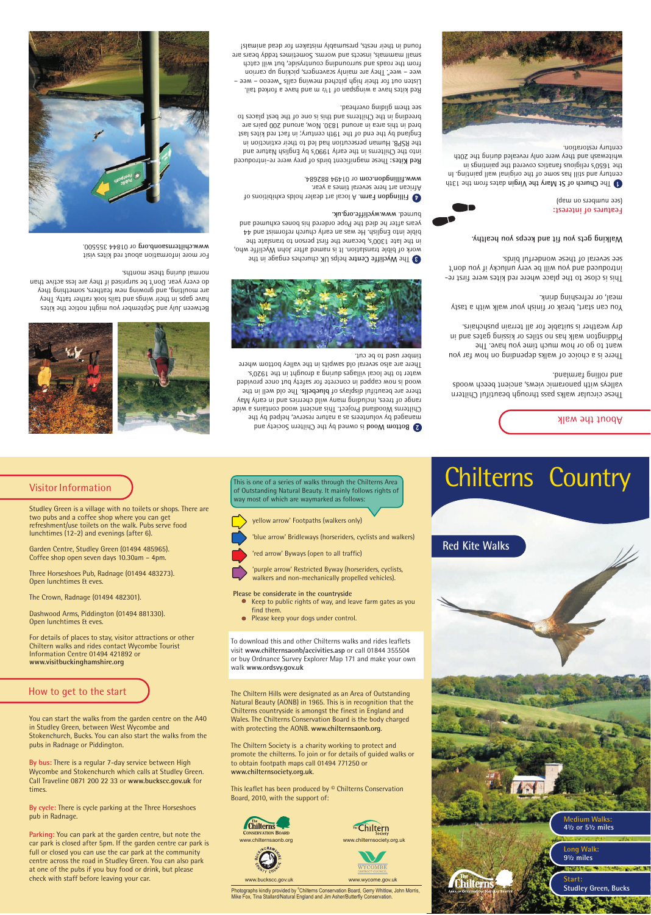# **Red Kite Walks**

# Visitor Information

**bis 0.000 Woods** is owned by the Chiltern Society and managed by volunteers as a nature reserve, helped by the Chilterns Woodland Project. Ihis ancient wood contains a wide rauge of trees, including many wild cherries and in early May there are beautiful displays of bluebells. Ihe old well in the wood is now capped in concrete for safety but once provided ought in the 1920's. We local villages during a guide to the 1920's. There are also several old sawpits in the valley bottom where

## How to get to the start

# About the walk

These circular walks pass through beautiful Chiltern valleys with panoramic views, ancient beech woods olling farmland.

There is a choice of walks depending on how far you want to go or how much time you have. The Piddington walk has no stiles or kissing gates and in sian pusher is suitable for all terrain pushchairs.

You can start, break or finish your walk with a tasty meal, or refreshing drink.

This is close to the place where red kites were first reproduced and you will be very unlucky if you don't see several of these wonderful birds.

*Malking gets you fit and keeps you healthy.* 

(dew uo suaqwnu aas) **Features** of interest:

 $\blacksquare$  The Church of St Mary the Virgin dates from the 13th century and still has some of the original painting. In the 1650's religious fanatics covered the 9dintings in whitewash and they were only revealed during the 20th century restoration.





Photographs kindly provided by <sup>®</sup>Chilterns Conservation Board, Gerry Whitlow, John Morris, Mike Fox, Tina Stallard/Natural England and Jim Asher/Butterfly Conservation.





www.wycome.gov.uk



# Chilterns Country

Studley Green is a village with no toilets or shops. There are

two pubs and a coffee shop where you can get refreshment/use toilets on the walk. Pubs serve food lunchtimes (12-2) and evenings (after 6).

Garden Centre, Studley Green (01494 485965). Coffee shop open seven days 10.30am – 4pm.

By bus: There is a regular 7-day service between High Wycombe and Stokenchurch which calls at Studley Green. Call Traveline 0871 200 22 33 or **www.buckscc.gov.uk** for times.

Three Horseshoes Pub, Radnage (01494 483273).

By cycle: There is cycle parking at the Three Horseshoes pub in Radnage.

Open lunchtimes & eves.

The Crown, Radnage (01494 482301).

Dashwood Arms, Piddington (01494 881330).

Open lunchtimes & eves.

Parking: You can park at the garden centre, but note the car park is closed after 5pm. If the garden centre car park is full or closed you can use the car park at the community centre across the road in Studley Green. You can also park at one of the pubs if you buy food or drink, but please check with staff before leaving your car.

For details of places to stay, visitor attractions or other Chiltern walks and rides contact Wycombe Tourist Information Centre 01494 421892 or **www.visitbuckinghamshire.org**

You can start the walks from the garden centre on the A40 in Studley Green, between West Wycombe and Stokenchurch, Bucks. You can also start the walks from the pubs in Radnage or Piddington.

**1 Eillingdon Farm. A local art dealer holds exhibitions of** . The several times a year. 1494 882684. or 0 **.fillingdon.com www**

Red Kites: These magnificent birds of prey were re-introduced into the Chilterns in the early 1990's by English Nature and the RSPB. Human persecution had led to their extinction in England by the end of the 19th century; in fact red kites last bred in this area in anound 1830. Now, around 200 pairs are breeding in the Chilterns and this is one of the best places to see them gliding overhead.

Red kites have a wingspan of 1½ m and have a forked tail. Listen out for their high pitched mewing calls "weeoo – wee – wee – wee". They are mainly scavengers, picking up carrion from the roads and surrounding countryside, but will catch sus are space small macked sometimes teddy bears are found in their nests, presumably mistaken for dead animals!

Between July and September you might notice the kites have gaps in their wings and tails look rather tatty. They sus mon<sub>l</sub>ting, sue dowing new feathers, something they do every year. Don't be surprised if they are less active than

For more information about red kites visit 1844 355500. or 0 **g .or aonb <sup>s</sup> .chiltern www**



**3** The Wycliffe Centre helps UK churches engage in the work of bible translation. It is named after John Wycliffe who, in the late 1300's, became the first person to translate the bible into English. He was an early church reformist and 44 years after he died the Pope ordered his bones exhumed and burned. www.wycliffe.org.uk.

normal during these months.

This is one of a series of walks through the Chilterns Area of Outstanding Natural Beauty. It mainly follows rights of

way most of which are waymarked as follows:

yellow arrow' Footpaths (walkers only)

'blue arrow' Bridleways (horseriders, cyclists and walkers)

'red arrow' Byways (open to all traffic)

'purple arrow' Restricted Byway (horseriders, cyclists, walkers and non-mechanically propelled vehicles).

**Please be considerate in the countryside**

Keep to public rights of way, and leave farm gates as you

find them.

Please keep your dogs under control.

To download this and other Chilterns walks and rides leaflets visit **www.chilternsaonb/accivities.asp** or call 01844 355504 or buy Ordnance Survey Explorer Map 171 and make your own

walk **www.ordsvy.gov.uk**

The Chiltern Hills were designated as an Area of Outstanding Natural Beauty (AONB) in 1965. This is in recognition that the Chilterns countryside is amongst the finest in England and Wales. The Chilterns Conservation Board is the body charged with protecting the AONB. **www.chilternsaonb.org**.

The Chiltern Society is a charity working to protect and promote the chilterns. To join or for details of guided walks or to obtain footpath maps call 01494 771250 or **www.chilternsociety.org.uk**.

This leaflet has been produced by © Chilterns Conservation Board, 2010, with the support of: